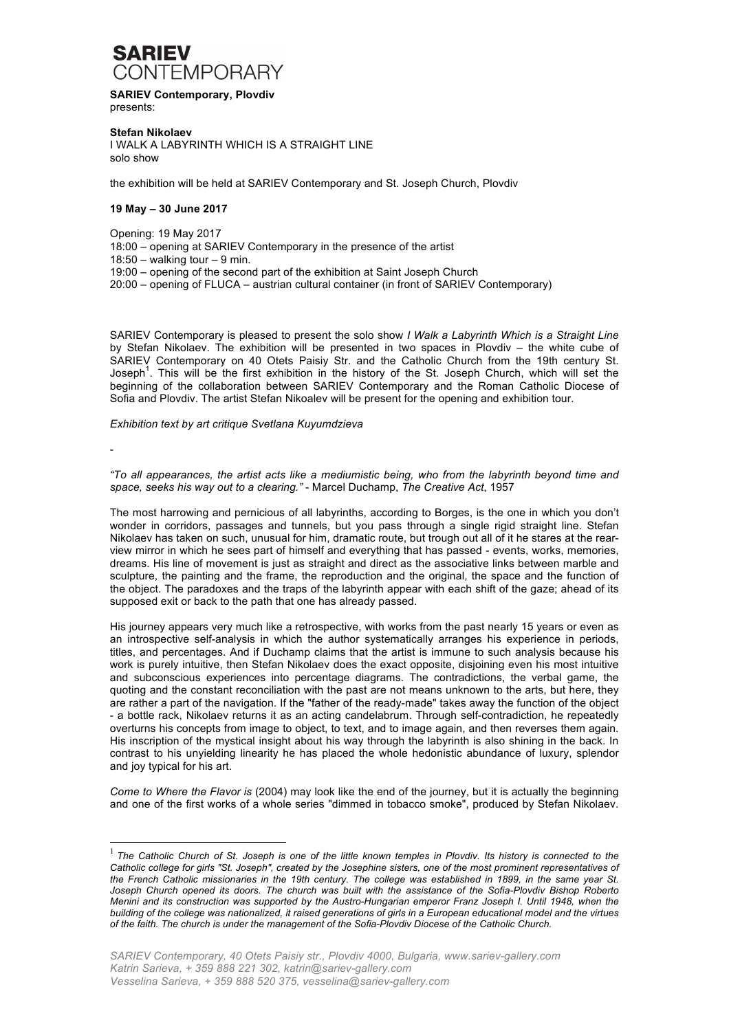

**SARIEV Contemporary, Plovdiv** presents:

**Stefan Nikolaev** I WALK A LABYRINTH WHICH IS A STRAIGHT LINE solo show

the exhibition will be held at SARIEV Contemporary and St. Joseph Church, Plovdiv

## **19 May – 30 June 2017**

Opening: 19 May 2017

18:00 – opening at SARIEV Contemporary in the presence of the artist

 $18:50 -$  walking tour  $-9$  min.

19:00 – opening of the second part of the exhibition at Saint Joseph Church

20:00 – opening of FLUCA – austrian cultural container (in front of SARIEV Contemporary)

SARIEV Contemporary is pleased to present the solo show *I Walk a Labyrinth Which is a Straight Line*  by Stefan Nikolaev. The exhibition will be presented in two spaces in Plovdiv – the white cube of SARIEV Contemporary on 40 Otets Paisiy Str. and the Catholic Church from the 19th century St. Joseph<sup>1</sup>. This will be the first exhibition in the history of the St. Joseph Church, which will set the beginning of the collaboration between SARIEV Contemporary and the Roman Catholic Diocese of Sofia and Plovdiv. The artist Stefan Nikoalev will be present for the opening and exhibition tour.

## *Exhibition text by art critique Svetlana Kuyumdzieva*

-

*"To all appearances, the artist acts like a mediumistic being, who from the labyrinth beyond time and space, seeks his way out to a clearing."* - Marcel Duchamp, *The Creative Act*, 1957

The most harrowing and pernicious of all labyrinths, according to Borges, is the one in which you don't wonder in corridors, passages and tunnels, but you pass through a single rigid straight line. Stefan Nikolaev has taken on such, unusual for him, dramatic route, but trough out all of it he stares at the rearview mirror in which he sees part of himself and everything that has passed - events, works, memories, dreams. His line of movement is just as straight and direct as the associative links between marble and sculpture, the painting and the frame, the reproduction and the original, the space and the function of the object. The paradoxes and the traps of the labyrinth appear with each shift of the gaze; ahead of its supposed exit or back to the path that one has already passed.

His journey appears very much like a retrospective, with works from the past nearly 15 years or even as an introspective self-analysis in which the author systematically arranges his experience in periods, titles, and percentages. And if Duchamp claims that the artist is immune to such analysis because his work is purely intuitive, then Stefan Nikolaev does the exact opposite, disjoining even his most intuitive and subconscious experiences into percentage diagrams. The contradictions, the verbal game, the quoting and the constant reconciliation with the past are not means unknown to the arts, but here, they are rather a part of the navigation. If the "father of the ready-made" takes away the function of the object - a bottle rack, Nikolaev returns it as an acting candelabrum. Through self-contradiction, he repeatedly overturns his concepts from image to object, to text, and to image again, and then reverses them again. His inscription of the mystical insight about his way through the labyrinth is also shining in the back. In contrast to his unyielding linearity he has placed the whole hedonistic abundance of luxury, splendor and joy typical for his art.

*Come to Where the Flavor is* (2004) may look like the end of the journey, but it is actually the beginning and one of the first works of a whole series "dimmed in tobacco smoke", produced by Stefan Nikolaev.

<sup>&</sup>lt;sup>1</sup> The Catholic Church of St. Joseph is one of the little known temples in Plovdiv. Its history is connected to the *Catholic college for girls "St. Joseph", created by the Josephine sisters, one of the most prominent representatives of the French Catholic missionaries in the 19th century. The college was established in 1899, in the same year St. Joseph Church opened its doors. The church was built with the assistance of the Sofia-Plovdiv Bishop Roberto Menini and its construction was supported by the Austro-Hungarian emperor Franz Joseph I. Until 1948, when the building of the college was nationalized, it raised generations of girls in a European educational model and the virtues of the faith. The church is under the management of the Sofia-Plovdiv Diocese of the Catholic Church.*